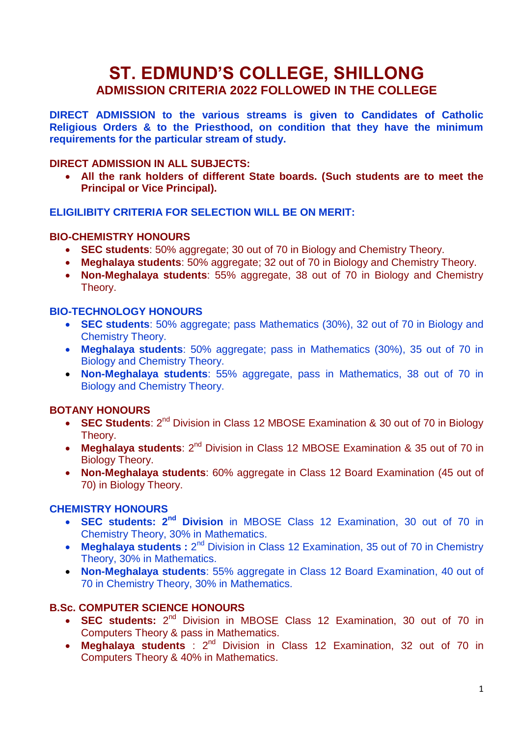# **ST. EDMUND'S COLLEGE, SHILLONG ADMISSION CRITERIA 2022 FOLLOWED IN THE COLLEGE**

**DIRECT ADMISSION to the various streams is given to Candidates of Catholic Religious Orders & to the Priesthood, on condition that they have the minimum requirements for the particular stream of study.**

## **DIRECT ADMISSION IN ALL SUBJECTS:**

 **All the rank holders of different State boards. (Such students are to meet the Principal or Vice Principal).**

#### **ELIGILIBITY CRITERIA FOR SELECTION WILL BE ON MERIT:**

#### **BIO-CHEMISTRY HONOURS**

- **SEC students**: 50% aggregate; 30 out of 70 in Biology and Chemistry Theory.
- **Meghalaya students**: 50% aggregate; 32 out of 70 in Biology and Chemistry Theory.
- **Non-Meghalaya students**: 55% aggregate, 38 out of 70 in Biology and Chemistry Theory.

## **BIO-TECHNOLOGY HONOURS**

- **SEC students**: 50% aggregate; pass Mathematics (30%), 32 out of 70 in Biology and Chemistry Theory.
- **Meghalaya students**: 50% aggregate; pass in Mathematics (30%), 35 out of 70 in Biology and Chemistry Theory.
- **Non-Meghalaya students**: 55% aggregate, pass in Mathematics, 38 out of 70 in Biology and Chemistry Theory.

# **BOTANY HONOURS**

- **SEC Students**: 2<sup>nd</sup> Division in Class 12 MBOSE Examination & 30 out of 70 in Biology Theory.
- Meghalaya students: 2<sup>nd</sup> Division in Class 12 MBOSE Examination & 35 out of 70 in Biology Theory.
- **Non-Meghalaya students**: 60% aggregate in Class 12 Board Examination (45 out of 70) in Biology Theory.

#### **CHEMISTRY HONOURS**

- **SEC students: 2nd Division** in MBOSE Class 12 Examination, 30 out of 70 in Chemistry Theory, 30% in Mathematics.
- Meghalaya students : 2<sup>nd</sup> Division in Class 12 Examination, 35 out of 70 in Chemistry Theory, 30% in Mathematics.
- **Non-Meghalaya students**: 55% aggregate in Class 12 Board Examination, 40 out of 70 in Chemistry Theory, 30% in Mathematics.

# **B.Sc. COMPUTER SCIENCE HONOURS**

- **SEC students:** 2<sup>nd</sup> Division in MBOSE Class 12 Examination, 30 out of 70 in Computers Theory & pass in Mathematics.
- Meghalaya students : 2<sup>nd</sup> Division in Class 12 Examination, 32 out of 70 in Computers Theory & 40% in Mathematics.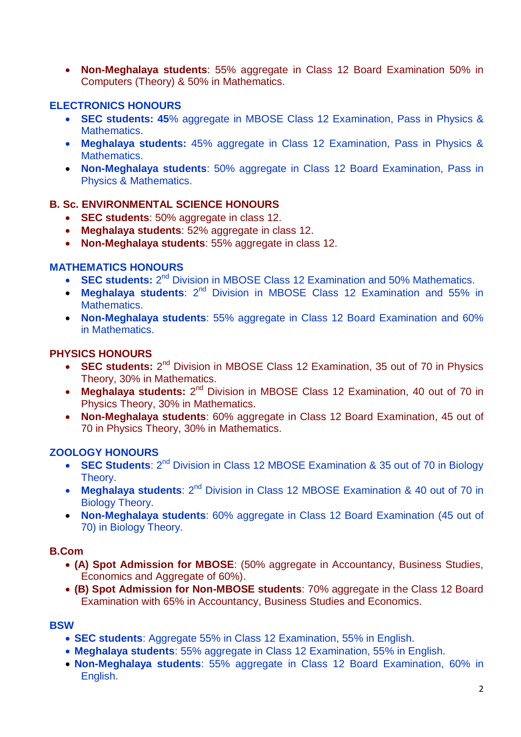**Non-Meghalaya students**: 55% aggregate in Class 12 Board Examination 50% in Computers (Theory) & 50% in Mathematics.

# **ELECTRONICS HONOURS**

- **SEC students: 45**% aggregate in MBOSE Class 12 Examination, Pass in Physics & Mathematics.
- **Meghalaya students:** 45% aggregate in Class 12 Examination, Pass in Physics & Mathematics.
- **Non-Meghalaya students**: 50% aggregate in Class 12 Board Examination, Pass in Physics & Mathematics.

## **B. Sc. ENVIRONMENTAL SCIENCE HONOURS**

- **SEC students**: 50% aggregate in class 12.
- **Meghalaya students**: 52% aggregate in class 12.
- **Non-Meghalaya students**: 55% aggregate in class 12.

#### **MATHEMATICS HONOURS**

- **SEC students:** 2<sup>nd</sup> Division in MBOSE Class 12 Examination and 50% Mathematics.
- **Meghalaya students**: 2<sup>nd</sup> Division in MBOSE Class 12 Examination and 55% in Mathematics.
- **Non-Meghalaya students**: 55% aggregate in Class 12 Board Examination and 60% in Mathematics.

## **PHYSICS HONOURS**

- **SEC students:** 2<sup>nd</sup> Division in MBOSE Class 12 Examination, 35 out of 70 in Physics Theory, 30% in Mathematics.
- Meghalaya students: 2<sup>nd</sup> Division in MBOSE Class 12 Examination, 40 out of 70 in Physics Theory, 30% in Mathematics.
- **Non-Meghalaya students**: 60% aggregate in Class 12 Board Examination, 45 out of 70 in Physics Theory, 30% in Mathematics.

#### **ZOOLOGY HONOURS**

- **SEC Students**: 2<sup>nd</sup> Division in Class 12 MBOSE Examination & 35 out of 70 in Biology Theory.
- Meghalaya students: 2<sup>nd</sup> Division in Class 12 MBOSE Examination & 40 out of 70 in Biology Theory.
- **Non-Meghalaya students**: 60% aggregate in Class 12 Board Examination (45 out of 70) in Biology Theory.

#### **B.Com**

- **(A) Spot Admission for MBOSE**: (50% aggregate in Accountancy, Business Studies, Economics and Aggregate of 60%).
- **(B) Spot Admission for Non-MBOSE students**: 70% aggregate in the Class 12 Board Examination with 65% in Accountancy, Business Studies and Economics.

#### **BSW**

- **SEC students**: Aggregate 55% in Class 12 Examination, 55% in English.
- **Meghalaya students**: 55% aggregate in Class 12 Examination, 55% in English.
- **Non-Meghalaya students**: 55% aggregate in Class 12 Board Examination, 60% in English.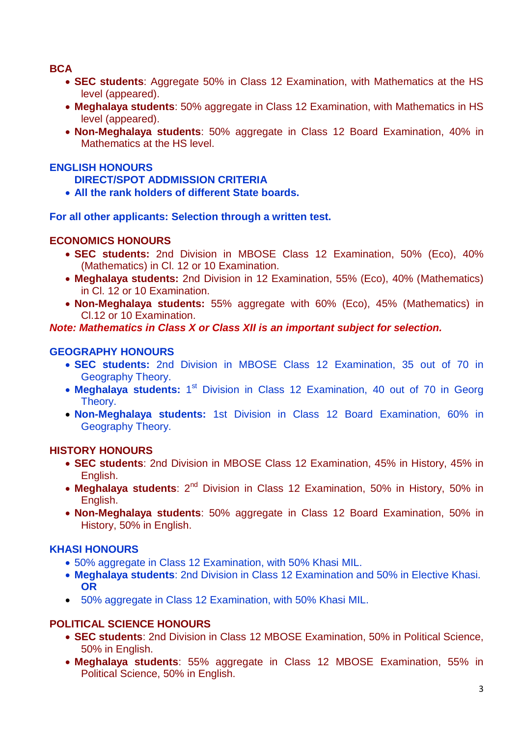## **BCA**

- **SEC students**: Aggregate 50% in Class 12 Examination, with Mathematics at the HS level (appeared).
- **Meghalaya students**: 50% aggregate in Class 12 Examination, with Mathematics in HS level (appeared).
- **Non-Meghalaya students**: 50% aggregate in Class 12 Board Examination, 40% in Mathematics at the HS level.

## **ENGLISH HONOURS**

#### **DIRECT/SPOT ADDMISSION CRITERIA**

**All the rank holders of different State boards.**

**For all other applicants: Selection through a written test.**

#### **ECONOMICS HONOURS**

- **SEC students:** 2nd Division in MBOSE Class 12 Examination, 50% (Eco), 40% (Mathematics) in Cl. 12 or 10 Examination.
- **Meghalaya students:** 2nd Division in 12 Examination, 55% (Eco), 40% (Mathematics) in Cl. 12 or 10 Examination.
- **Non-Meghalaya students:** 55% aggregate with 60% (Eco), 45% (Mathematics) in Cl.12 or 10 Examination.

*Note: Mathematics in Class X or Class XII is an important subject for selection.*

## **GEOGRAPHY HONOURS**

- **SEC students:** 2nd Division in MBOSE Class 12 Examination, 35 out of 70 in Geography Theory.
- Meghalaya students: 1<sup>st</sup> Division in Class 12 Examination, 40 out of 70 in Georg Theory.
- **Non-Meghalaya students:** 1st Division in Class 12 Board Examination, 60% in Geography Theory.

#### **HISTORY HONOURS**

- **SEC students**: 2nd Division in MBOSE Class 12 Examination, 45% in History, 45% in English.
- Meghalaya students: 2<sup>nd</sup> Division in Class 12 Examination, 50% in History, 50% in English.
- **Non-Meghalaya students**: 50% aggregate in Class 12 Board Examination, 50% in History, 50% in English.

#### **KHASI HONOURS**

- 50% aggregate in Class 12 Examination, with 50% Khasi MIL.
- **Meghalaya students**: 2nd Division in Class 12 Examination and 50% in Elective Khasi. **OR**
- 50% aggregate in Class 12 Examination, with 50% Khasi MIL.

# **POLITICAL SCIENCE HONOURS**

- **SEC students**: 2nd Division in Class 12 MBOSE Examination, 50% in Political Science, 50% in English.
- **Meghalaya students**: 55% aggregate in Class 12 MBOSE Examination, 55% in Political Science, 50% in English.